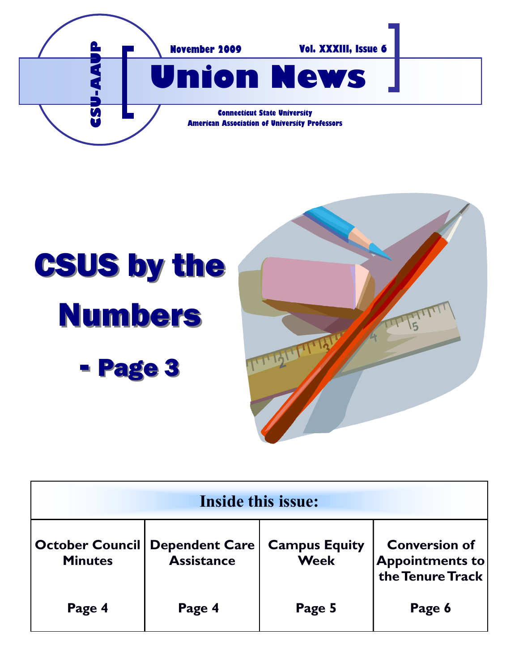

# CSUS by the Numbers - Page 3



| Inside this issue:                       |                                            |                                     |                                                                    |
|------------------------------------------|--------------------------------------------|-------------------------------------|--------------------------------------------------------------------|
| <b>October Council</b><br><b>Minutes</b> | <b>Dependent Care</b><br><b>Assistance</b> | <b>Campus Equity</b><br><b>Week</b> | <b>Conversion of</b><br><b>Appointments to</b><br>the Tenure Track |
| Page 4                                   | Page 4                                     | Page 5                              | Page 6                                                             |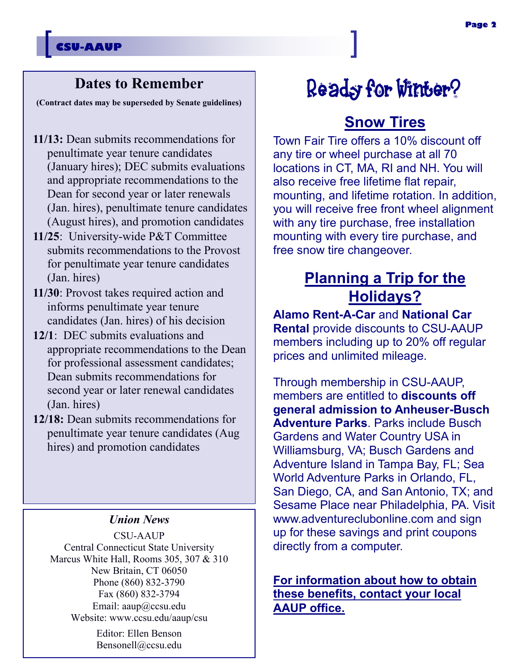## **Dates to Remember**

**(Contract dates may be superseded by Senate guidelines)**

- **11/13:** Dean submits recommendations for penultimate year tenure candidates (January hires); DEC submits evaluations and appropriate recommendations to the Dean for second year or later renewals (Jan. hires), penultimate tenure candidates (August hires), and promotion candidates
- **11/25**: University-wide P&T Committee submits recommendations to the Provost for penultimate year tenure candidates (Jan. hires)
- **11/30**: Provost takes required action and informs penultimate year tenure candidates (Jan. hires) of his decision
- **12/1**: DEC submits evaluations and appropriate recommendations to the Dean for professional assessment candidates; Dean submits recommendations for second year or later renewal candidates (Jan. hires)
- **12/18:** Dean submits recommendations for penultimate year tenure candidates (Aug hires) and promotion candidates

### *Union News*

CSU-AAUP Central Connecticut State University Marcus White Hall, Rooms 305, 307 & 310 New Britain, CT 06050 Phone (860) 832-3790 Fax (860) 832-3794 Email: aaup@ccsu.edu Website: www.ccsu.edu/aaup/csu

> Editor: Ellen Benson Bensonell@ccsu.edu

# Ready for Winter?

# **Snow Tires**

Town Fair Tire offers a 10% discount off any tire or wheel purchase at all 70 locations in CT, MA, RI and NH. You will also receive free lifetime flat repair, mounting, and lifetime rotation. In addition, you will receive free front wheel alignment with any tire purchase, free installation mounting with every tire purchase, and free snow tire changeover.

# **Planning a Trip for the Holidays?**

**Alamo Rent-A-Car** and **National Car Rental** provide discounts to CSU-AAUP members including up to 20% off regular prices and unlimited mileage.

Through membership in CSU-AAUP, members are entitled to **discounts off general admission to Anheuser-Busch Adventure Parks**. Parks include Busch Gardens and Water Country USA in Williamsburg, VA; Busch Gardens and Adventure Island in Tampa Bay, FL; Sea World Adventure Parks in Orlando, FL, San Diego, CA, and San Antonio, TX; and Sesame Place near Philadelphia, PA. Visit www.adventureclubonline.com and sign up for these savings and print coupons directly from a computer.

### **For information about how to obtain these benefits, contact your local AAUP office.**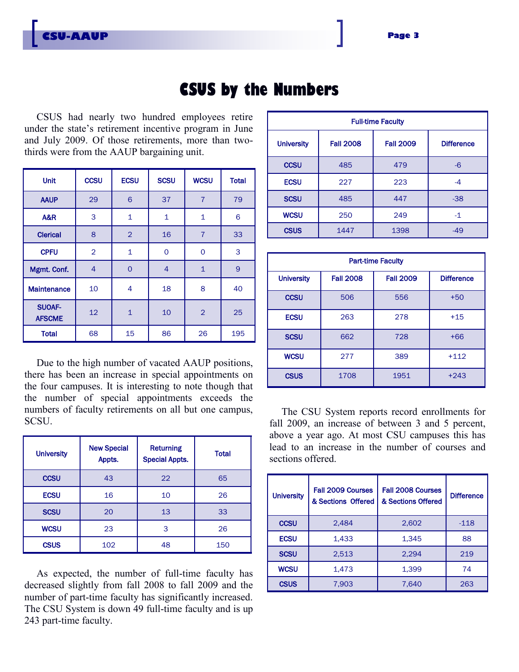# **CSUS by the Numbers**

CSUS had nearly two hundred employees retire under the state's retirement incentive program in June and July 2009. Of those retirements, more than twothirds were from the AAUP bargaining unit.

| <b>Unit</b>                    | <b>CCSU</b>    | <b>ECSU</b>    | <b>SCSU</b>    | <b>WCSU</b>    | <b>Total</b> |
|--------------------------------|----------------|----------------|----------------|----------------|--------------|
| <b>AAUP</b>                    | 29             | 6              | 37             | $\overline{7}$ | 79           |
| <b>A&amp;R</b>                 | 3              | $\mathbf{1}$   | $\mathbf 1$    | $\mathbf 1$    | 6            |
| <b>Clerical</b>                | 8              | $\overline{2}$ | 16             | $\overline{7}$ | 33           |
| <b>CPFU</b>                    | $\overline{2}$ | $\mathbf 1$    | 0              | 0              | 3            |
| Mgmt. Conf.                    | $\overline{4}$ | $\circ$        | $\overline{4}$ | $\mathbf{1}$   | 9            |
| <b>Maintenance</b>             | 10             | 4              | 18             | 8              | 40           |
| <b>SUOAF-</b><br><b>AFSCME</b> | 12             | $\overline{1}$ | 10             | $\overline{2}$ | 25           |
| <b>Total</b>                   | 68             | 15             | 86             | 26             | 195          |

Due to the high number of vacated AAUP positions, there has been an increase in special appointments on the four campuses. It is interesting to note though that the number of special appointments exceeds the numbers of faculty retirements on all but one campus, SCSU.

| <b>University</b> | <b>New Special</b><br>Appts. | <b>Returning</b><br><b>Special Appts.</b> | <b>Total</b> |
|-------------------|------------------------------|-------------------------------------------|--------------|
| <b>CCSU</b>       | 43                           | 22                                        | 65           |
| <b>ECSU</b>       | 16                           | 10                                        | 26           |
| <b>SCSU</b>       | 20                           | 13                                        | 33           |
| <b>WCSU</b>       | 23                           | 3                                         | 26           |
| <b>CSUS</b>       | 102                          | 48                                        | 150          |

As expected, the number of full-time faculty has decreased slightly from fall 2008 to fall 2009 and the number of part-time faculty has significantly increased. The CSU System is down 49 full-time faculty and is up 243 part-time faculty.

| <b>Full-time Faculty</b> |                  |                  |                   |
|--------------------------|------------------|------------------|-------------------|
| <b>University</b>        | <b>Fall 2008</b> | <b>Fall 2009</b> | <b>Difference</b> |
| <b>CCSU</b>              | 485              | 479              | -6                |
| <b>ECSU</b>              | 227              | 223              | -4                |
| <b>SCSU</b>              | 485              | 447              | $-38$             |
| <b>WCSU</b>              | 250              | 249              | $-1$              |
| <b>CSUS</b>              | 1447             | 1398             | $-49$             |

| <b>Part-time Faculty</b> |                  |                  |                   |
|--------------------------|------------------|------------------|-------------------|
| <b>University</b>        | <b>Fall 2008</b> | <b>Fall 2009</b> | <b>Difference</b> |
| <b>CCSU</b>              | 506              | 556              | $+50$             |
| <b>ECSU</b>              | 263              | 278              | $+15$             |
| <b>SCSU</b>              | 662              | 728              | $+66$             |
| <b>WCSU</b>              | 277              | 389              | $+112$            |
| <b>CSUS</b>              | 1708             | 1951             | $+243$            |

The CSU System reports record enrollments for fall 2009, an increase of between 3 and 5 percent, above a year ago. At most CSU campuses this has lead to an increase in the number of courses and sections offered.

| <b>University</b> | <b>Fall 2009 Courses</b><br>& Sections Offered | Fall 2008 Courses<br>& Sections Offered | <b>Difference</b> |
|-------------------|------------------------------------------------|-----------------------------------------|-------------------|
| <b>CCSU</b>       | 2,484                                          | 2,602                                   | $-118$            |
| <b>ECSU</b>       | 1,433                                          | 1,345                                   | 88                |
| <b>SCSU</b>       | 2,513                                          | 2,294                                   | 219               |
| <b>WCSU</b>       | 1,473                                          | 1,399                                   | 74                |
| <b>CSUS</b>       | 7,903                                          | 7,640                                   | 263               |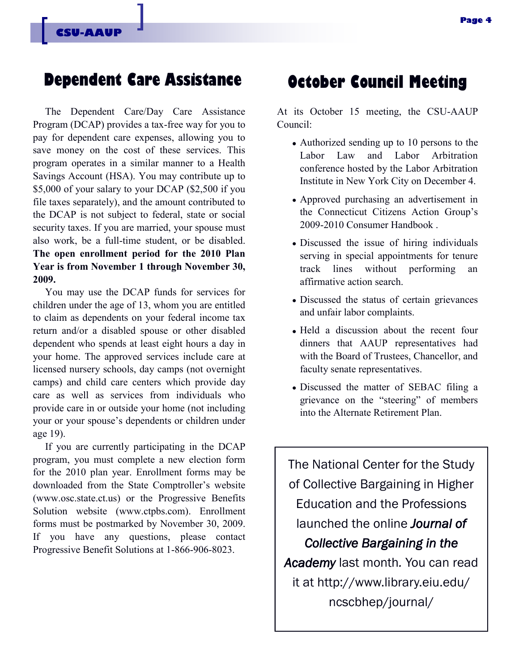# **Dependent Care Assistance October Council Meeting**

The Dependent Care/Day Care Assistance Program (DCAP) provides a tax-free way for you to pay for dependent care expenses, allowing you to save money on the cost of these services. This program operates in a similar manner to a Health Savings Account (HSA). You may contribute up to \$5,000 of your salary to your DCAP (\$2,500 if you file taxes separately), and the amount contributed to the DCAP is not subject to federal, state or social security taxes. If you are married, your spouse must also work, be a full-time student, or be disabled. **The open enrollment period for the 2010 Plan Year is from November 1 through November 30, 2009.** 

You may use the DCAP funds for services for children under the age of 13, whom you are entitled to claim as dependents on your federal income tax return and/or a disabled spouse or other disabled dependent who spends at least eight hours a day in your home. The approved services include care at licensed nursery schools, day camps (not overnight camps) and child care centers which provide day care as well as services from individuals who provide care in or outside your home (not including your or your spouse's dependents or children under age 19).

If you are currently participating in the DCAP program, you must complete a new election form for the 2010 plan year. Enrollment forms may be downloaded from the State Comptroller's website (www.osc.state.ct.us) or the Progressive Benefits Solution website (www.ctpbs.com). Enrollment forms must be postmarked by November 30, 2009. If you have any questions, please contact Progressive Benefit Solutions at 1-866-906-8023.

At its October 15 meeting, the CSU-AAUP Council:

- Authorized sending up to 10 persons to the Labor Law and Labor Arbitration conference hosted by the Labor Arbitration Institute in New York City on December 4.
- Approved purchasing an advertisement in the Connecticut Citizens Action Group's 2009-2010 Consumer Handbook .
- Discussed the issue of hiring individuals serving in special appointments for tenure track lines without performing an affirmative action search.
- Discussed the status of certain grievances and unfair labor complaints.
- Held a discussion about the recent four dinners that AAUP representatives had with the Board of Trustees, Chancellor, and faculty senate representatives.
- Discussed the matter of SEBAC filing a grievance on the "steering" of members into the Alternate Retirement Plan.

The National Center for the Study of Collective Bargaining in Higher Education and the Professions launched the online *Journal of Collective Bargaining in the Academy* last month*.* You can read it at http://www.library.eiu.edu/ ncscbhep/journal/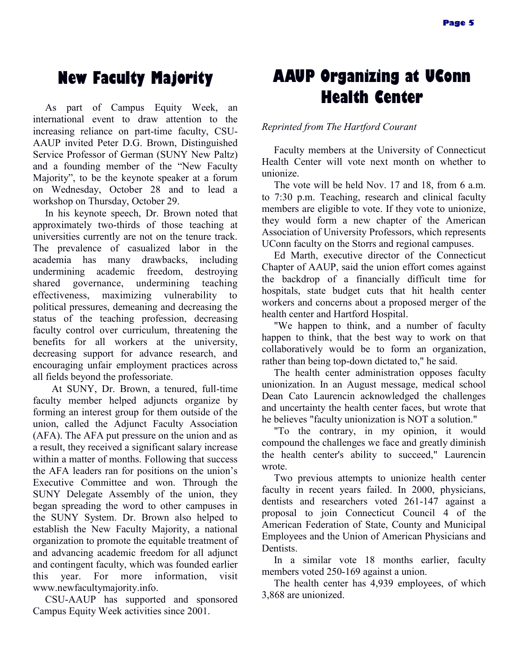As part of Campus Equity Week, an international event to draw attention to the increasing reliance on part-time faculty, CSU-AAUP invited Peter D.G. Brown, Distinguished Service Professor of German (SUNY New Paltz) and a founding member of the "New Faculty Majority", to be the keynote speaker at a forum on Wednesday, October 28 and to lead a workshop on Thursday, October 29.

In his keynote speech, Dr. Brown noted that approximately two-thirds of those teaching at universities currently are not on the tenure track. The prevalence of casualized labor in the academia has many drawbacks, including undermining academic freedom, destroying shared governance, undermining teaching effectiveness, maximizing vulnerability to political pressures, demeaning and decreasing the status of the teaching profession, decreasing faculty control over curriculum, threatening the benefits for all workers at the university, decreasing support for advance research, and encouraging unfair employment practices across all fields beyond the professoriate.

At SUNY, Dr. Brown, a tenured, full-time faculty member helped adjuncts organize by forming an interest group for them outside of the union, called the Adjunct Faculty Association (AFA). The AFA put pressure on the union and as a result, they received a significant salary increase within a matter of months. Following that success the AFA leaders ran for positions on the union's Executive Committee and won. Through the SUNY Delegate Assembly of the union, they began spreading the word to other campuses in the SUNY System. Dr. Brown also helped to establish the New Faculty Majority, a national organization to promote the equitable treatment of and advancing academic freedom for all adjunct and contingent faculty, which was founded earlier this year. For more information, visit www.newfacultymajority.info.

CSU-AAUP has supported and sponsored Campus Equity Week activities since 2001.

# **New Faculty Majority AAUP Organizing at UConn Health Center**

*Reprinted from The Hartford Courant*

Faculty members at the University of Connecticut Health Center will vote next month on whether to unionize.

The vote will be held Nov. 17 and 18, from 6 a.m. to 7:30 p.m. Teaching, research and clinical faculty members are eligible to vote. If they vote to unionize, they would form a new chapter of the American Association of University Professors, which represents UConn faculty on the Storrs and regional campuses.

Ed Marth, executive director of the Connecticut Chapter of AAUP, said the union effort comes against the backdrop of a financially difficult time for hospitals, state budget cuts that hit health center workers and concerns about a proposed merger of the health center and Hartford Hospital.

"We happen to think, and a number of faculty happen to think, that the best way to work on that collaboratively would be to form an organization, rather than being top-down dictated to," he said.

The health center administration opposes faculty unionization. In an August message, medical school Dean Cato Laurencin acknowledged the challenges and uncertainty the health center faces, but wrote that he believes "faculty unionization is NOT a solution."

"To the contrary, in my opinion, it would compound the challenges we face and greatly diminish the health center's ability to succeed," Laurencin wrote.

Two previous attempts to unionize health center faculty in recent years failed. In 2000, physicians, dentists and researchers voted 261-147 against a proposal to join Connecticut Council 4 of the American Federation of State, County and Municipal Employees and the Union of American Physicians and Dentists.

In a similar vote 18 months earlier, faculty members voted 250-169 against a union.

The health center has 4,939 employees, of which 3,868 are unionized.